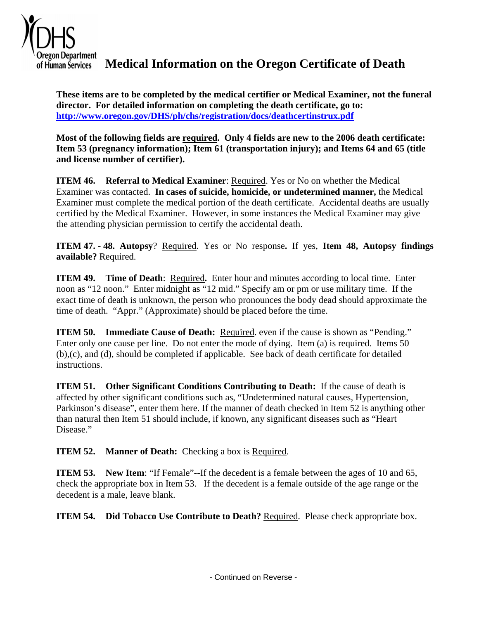

**Medical Information on the Oregon Certificate of Death**

**These items are to be completed by the medical certifier or Medical Examiner, not the funeral director. For detailed information on completing the death certificate, go to: http://www.oregon.gov/DHS/ph/chs/registration/docs/deathcertinstrux.pdf** 

**Most of the following fields are required. Only 4 fields are new to the 2006 death certificate: Item 53 (pregnancy information); Item 61 (transportation injury); and Items 64 and 65 (title and license number of certifier).** 

**ITEM 46. Referral to Medical Examiner**: Required. Yes or No on whether the Medical Examiner was contacted. **In cases of suicide, homicide, or undetermined manner,** the Medical Examiner must complete the medical portion of the death certificate. Accidental deaths are usually certified by the Medical Examiner. However, in some instances the Medical Examiner may give the attending physician permission to certify the accidental death.

 **ITEM 47. - 48. Autopsy**? Required. Yes or No response**.** If yes, **Item 48, Autopsy findings available?** Required.

**ITEM 49. Time of Death**: Required**.** Enter hour and minutes according to local time. Enter noon as "12 noon." Enter midnight as "12 mid." Specify am or pm or use military time. If the exact time of death is unknown, the person who pronounces the body dead should approximate the time of death. "Appr." (Approximate) should be placed before the time.

**ITEM 50. Immediate Cause of Death:** Required. even if the cause is shown as "Pending." Enter only one cause per line. Do not enter the mode of dying. Item (a) is required. Items 50 (b),(c), and (d), should be completed if applicable. See back of death certificate for detailed instructions.

**ITEM 51. Other Significant Conditions Contributing to Death:** If the cause of death is affected by other significant conditions such as, "Undetermined natural causes, Hypertension, Parkinson's disease", enter them here. If the manner of death checked in Item 52 is anything other than natural then Item 51 should include, if known, any significant diseases such as "Heart Disease."

**ITEM 52. Manner of Death:** Checking a box is Required.

**ITEM 53.** New Item: "If Female"--If the decedent is a female between the ages of 10 and 65, check the appropriate box in Item 53. If the decedent is a female outside of the age range or the decedent is a male, leave blank.

**ITEM 54. Did Tobacco Use Contribute to Death?** Required. Please check appropriate box.